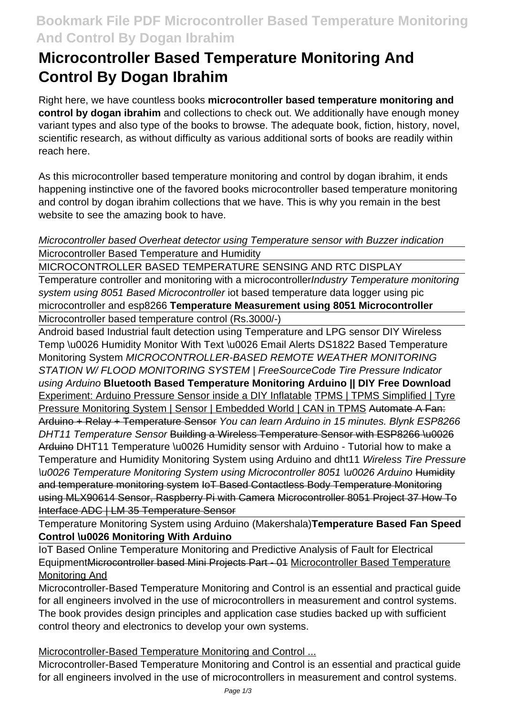# **Bookmark File PDF Microcontroller Based Temperature Monitoring And Control By Dogan Ibrahim**

# **Microcontroller Based Temperature Monitoring And Control By Dogan Ibrahim**

Right here, we have countless books **microcontroller based temperature monitoring and control by dogan ibrahim** and collections to check out. We additionally have enough money variant types and also type of the books to browse. The adequate book, fiction, history, novel, scientific research, as without difficulty as various additional sorts of books are readily within reach here.

As this microcontroller based temperature monitoring and control by dogan ibrahim, it ends happening instinctive one of the favored books microcontroller based temperature monitoring and control by dogan ibrahim collections that we have. This is why you remain in the best website to see the amazing book to have.

# Microcontroller based Overheat detector using Temperature sensor with Buzzer indication Microcontroller Based Temperature and Humidity

MICROCONTROLLER BASED TEMPERATURE SENSING AND RTC DISPLAY

Temperature controller and monitoring with a microcontroller *Industry Temperature monitoring* system using 8051 Based Microcontroller jot based temperature data logger using pic microcontroller and esp8266 **Temperature Measurement using 8051 Microcontroller** Microcontroller based temperature control (Rs.3000/-)

Android based Industrial fault detection using Temperature and LPG sensor DIY Wireless Temp \u0026 Humidity Monitor With Text \u0026 Email Alerts DS1822 Based Temperature Monitoring System MICROCONTROLLER-BASED REMOTE WEATHER MONITORING STATION W/ FLOOD MONITORING SYSTEM | FreeSourceCode Tire Pressure Indicator using Arduino **Bluetooth Based Temperature Monitoring Arduino || DIY Free Download** Experiment: Arduino Pressure Sensor inside a DIY Inflatable TPMS | TPMS Simplified | Tyre Pressure Monitoring System | Sensor | Embedded World | CAN in TPMS Automate A Fan: Arduino + Relay + Temperature Sensor You can learn Arduino in 15 minutes. Blynk ESP8266 DHT11 Temperature Sensor Building a Wireless Temperature Sensor with ESP8266 \u0026 Arduino DHT11 Temperature \u0026 Humidity sensor with Arduino - Tutorial how to make a Temperature and Humidity Monitoring System using Arduino and dht11 Wireless Tire Pressure \u0026 Temperature Monitoring System using Microcontroller 8051 \u0026 Arduino Humidity and temperature monitoring system IoT Based Contactless Body Temperature Monitoring using MLX90614 Sensor, Raspberry Pi with Camera Microcontroller 8051 Project 37 How To Interface ADC | LM 35 Temperature Sensor

Temperature Monitoring System using Arduino (Makershala)**Temperature Based Fan Speed Control \u0026 Monitoring With Arduino**

IoT Based Online Temperature Monitoring and Predictive Analysis of Fault for Electrical Equipment Microcontroller based Mini Projects Part - 01 Microcontroller Based Temperature Monitoring And

Microcontroller-Based Temperature Monitoring and Control is an essential and practical guide for all engineers involved in the use of microcontrollers in measurement and control systems. The book provides design principles and application case studies backed up with sufficient control theory and electronics to develop your own systems.

Microcontroller-Based Temperature Monitoring and Control ...

Microcontroller-Based Temperature Monitoring and Control is an essential and practical guide for all engineers involved in the use of microcontrollers in measurement and control systems.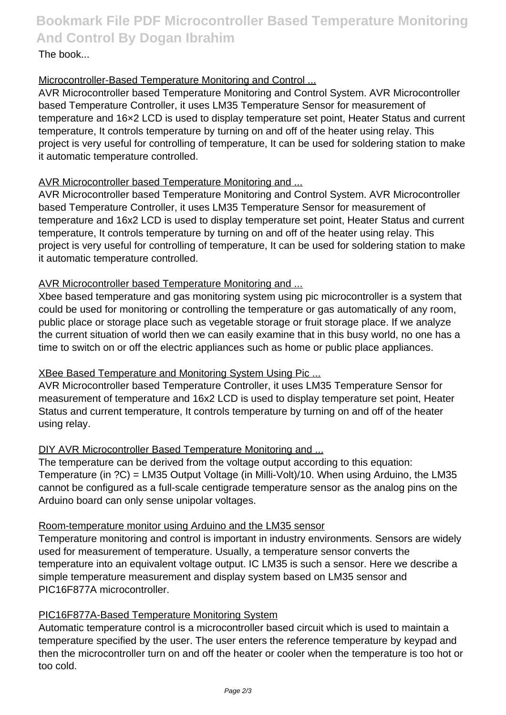**Bookmark File PDF Microcontroller Based Temperature Monitoring And Control By Dogan Ibrahim**

# The book...

# Microcontroller-Based Temperature Monitoring and Control ...

AVR Microcontroller based Temperature Monitoring and Control System. AVR Microcontroller based Temperature Controller, it uses LM35 Temperature Sensor for measurement of temperature and 16×2 LCD is used to display temperature set point, Heater Status and current temperature, It controls temperature by turning on and off of the heater using relay. This project is very useful for controlling of temperature, It can be used for soldering station to make it automatic temperature controlled.

# AVR Microcontroller based Temperature Monitoring and ...

AVR Microcontroller based Temperature Monitoring and Control System. AVR Microcontroller based Temperature Controller, it uses LM35 Temperature Sensor for measurement of temperature and 16x2 LCD is used to display temperature set point, Heater Status and current temperature, It controls temperature by turning on and off of the heater using relay. This project is very useful for controlling of temperature, It can be used for soldering station to make it automatic temperature controlled.

# AVR Microcontroller based Temperature Monitoring and ...

Xbee based temperature and gas monitoring system using pic microcontroller is a system that could be used for monitoring or controlling the temperature or gas automatically of any room, public place or storage place such as vegetable storage or fruit storage place. If we analyze the current situation of world then we can easily examine that in this busy world, no one has a time to switch on or off the electric appliances such as home or public place appliances.

### XBee Based Temperature and Monitoring System Using Pic ...

AVR Microcontroller based Temperature Controller, it uses LM35 Temperature Sensor for measurement of temperature and 16x2 LCD is used to display temperature set point, Heater Status and current temperature, It controls temperature by turning on and off of the heater using relay.

# DIY AVR Microcontroller Based Temperature Monitoring and ...

The temperature can be derived from the voltage output according to this equation: Temperature (in ?C) = LM35 Output Voltage (in Milli-Volt)/10. When using Arduino, the LM35 cannot be configured as a full-scale centigrade temperature sensor as the analog pins on the Arduino board can only sense unipolar voltages.

### Room-temperature monitor using Arduino and the LM35 sensor

Temperature monitoring and control is important in industry environments. Sensors are widely used for measurement of temperature. Usually, a temperature sensor converts the temperature into an equivalent voltage output. IC LM35 is such a sensor. Here we describe a simple temperature measurement and display system based on LM35 sensor and PIC16F877A microcontroller.

### PIC16F877A-Based Temperature Monitoring System

Automatic temperature control is a microcontroller based circuit which is used to maintain a temperature specified by the user. The user enters the reference temperature by keypad and then the microcontroller turn on and off the heater or cooler when the temperature is too hot or too cold.